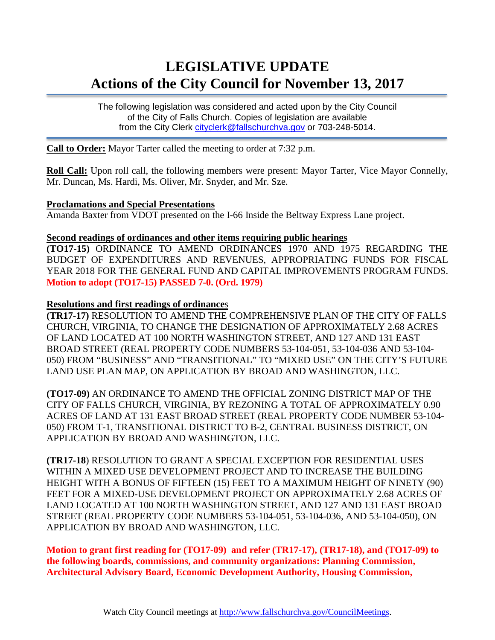# **LEGISLATIVE UPDATE Actions of the City Council for November 13, 2017**

The following legislation was considered and acted upon by the City Council of the City of Falls Church. Copies of legislation are available from the City Clerk [cityclerk@fallschurchva.gov](mailto:cityclerk@fallschurchva.gov) or 703-248-5014.

**Call to Order:** Mayor Tarter called the meeting to order at 7:32 p.m.

**Roll Call:** Upon roll call, the following members were present: Mayor Tarter, Vice Mayor Connelly, Mr. Duncan, Ms. Hardi, Ms. Oliver, Mr. Snyder, and Mr. Sze.

# **Proclamations and Special Presentations**

Amanda Baxter from VDOT presented on the I-66 Inside the Beltway Express Lane project.

#### **Second readings of ordinances and other items requiring public hearings**

**(TO17-15)** ORDINANCE TO AMEND ORDINANCES 1970 AND 1975 REGARDING THE BUDGET OF EXPENDITURES AND REVENUES, APPROPRIATING FUNDS FOR FISCAL YEAR 2018 FOR THE GENERAL FUND AND CAPITAL IMPROVEMENTS PROGRAM FUNDS. **Motion to adopt (TO17-15) PASSED 7-0. (Ord. 1979)**

#### **Resolutions and first readings of ordinance**s

**(TR17-17)** RESOLUTION TO AMEND THE COMPREHENSIVE PLAN OF THE CITY OF FALLS CHURCH, VIRGINIA, TO CHANGE THE DESIGNATION OF APPROXIMATELY 2.68 ACRES OF LAND LOCATED AT 100 NORTH WASHINGTON STREET, AND 127 AND 131 EAST BROAD STREET (REAL PROPERTY CODE NUMBERS 53-104-051, 53-104-036 AND 53-104- 050) FROM "BUSINESS" AND "TRANSITIONAL" TO "MIXED USE" ON THE CITY'S FUTURE LAND USE PLAN MAP, ON APPLICATION BY BROAD AND WASHINGTON, LLC.

**(TO17-09)** AN ORDINANCE TO AMEND THE OFFICIAL ZONING DISTRICT MAP OF THE CITY OF FALLS CHURCH, VIRGINIA, BY REZONING A TOTAL OF APPROXIMATELY 0.90 ACRES OF LAND AT 131 EAST BROAD STREET (REAL PROPERTY CODE NUMBER 53-104- 050) FROM T-1, TRANSITIONAL DISTRICT TO B-2, CENTRAL BUSINESS DISTRICT, ON APPLICATION BY BROAD AND WASHINGTON, LLC.

**(TR17-18**) RESOLUTION TO GRANT A SPECIAL EXCEPTION FOR RESIDENTIAL USES WITHIN A MIXED USE DEVELOPMENT PROJECT AND TO INCREASE THE BUILDING HEIGHT WITH A BONUS OF FIFTEEN (15) FEET TO A MAXIMUM HEIGHT OF NINETY (90) FEET FOR A MIXED-USE DEVELOPMENT PROJECT ON APPROXIMATELY 2.68 ACRES OF LAND LOCATED AT 100 NORTH WASHINGTON STREET, AND 127 AND 131 EAST BROAD STREET (REAL PROPERTY CODE NUMBERS 53-104-051, 53-104-036, AND 53-104-050), ON APPLICATION BY BROAD AND WASHINGTON, LLC.

**Motion to grant first reading for (TO17-09) and refer (TR17-17), (TR17-18), and (TO17-09) to the following boards, commissions, and community organizations: Planning Commission, Architectural Advisory Board, Economic Development Authority, Housing Commission,**